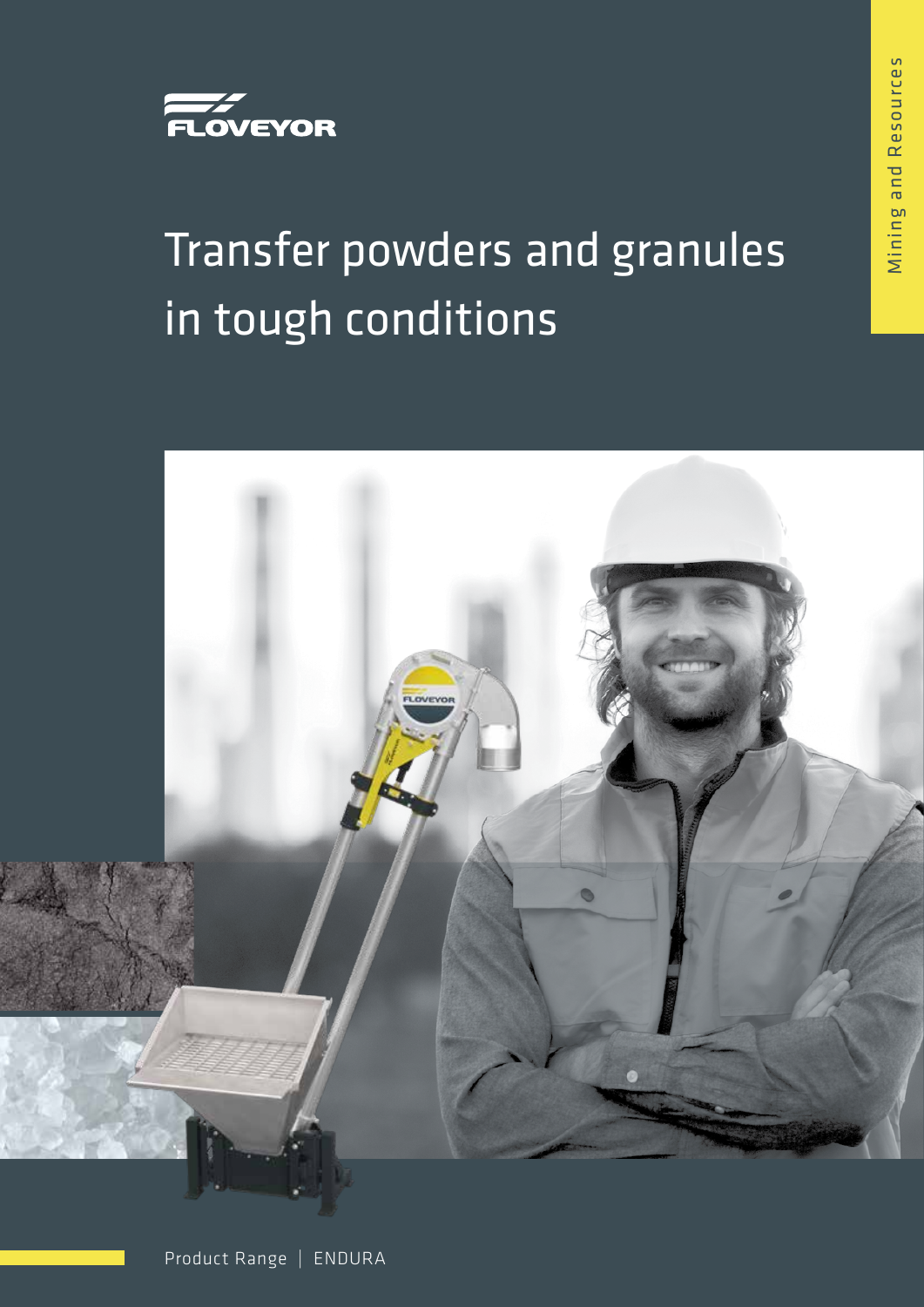

# Transfer powders and granules in tough conditions

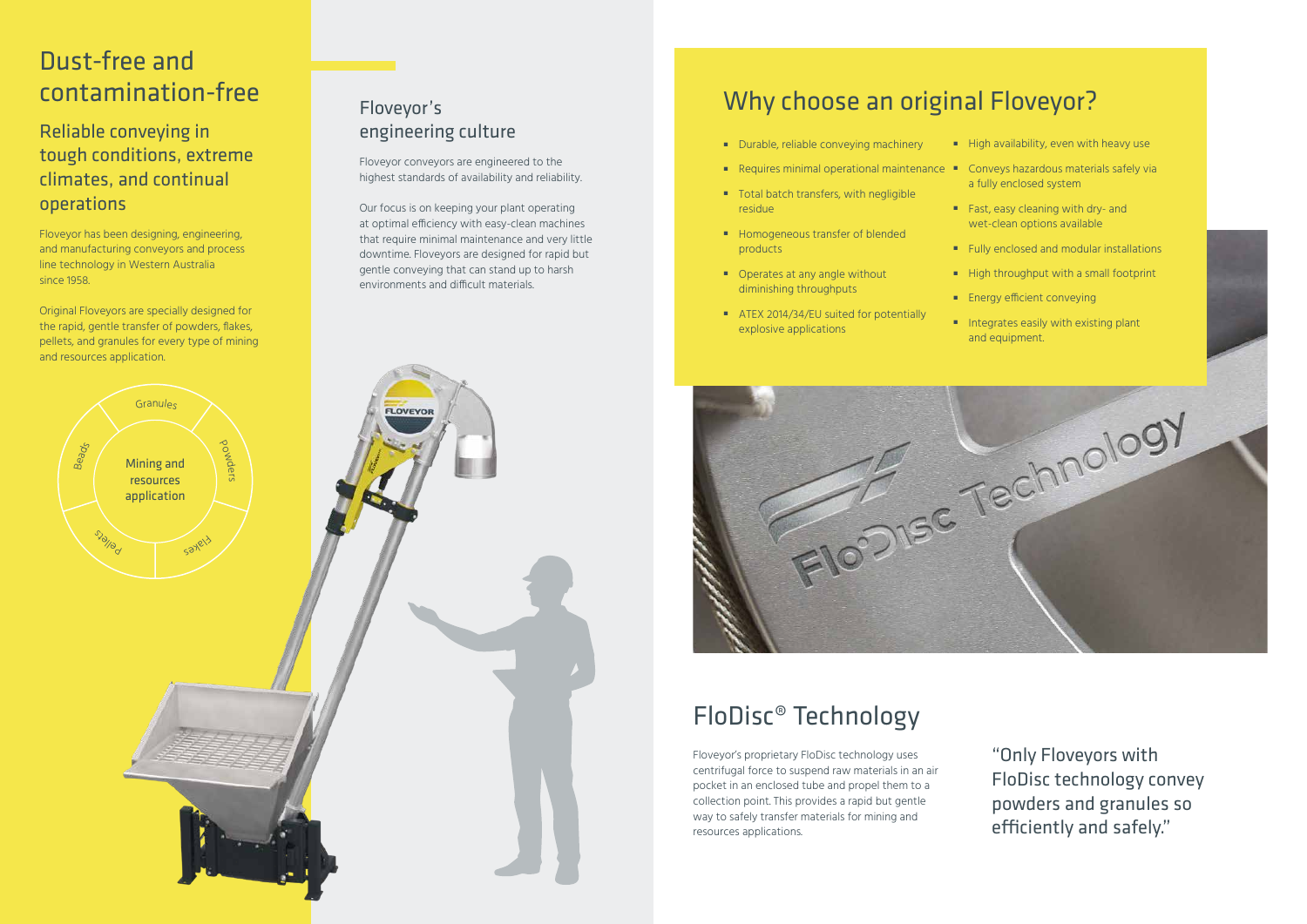# FloDisc® Technology

Floveyor's proprietary FloDisc technology uses centrifugal force to suspend raw materials in an air pocket in an enclosed tube and propel them to a collection point. This provides a rapid but gentle way to safely transfer materials for mining and resources applications.

"Only Floveyors with FloDisc technology convey powders and granules so efficiently and safely."

- Durable, reliable conveying machinery
- $\quad \blacksquare$  Requires minimal operational maintenance  $\quadblacksquare$  Conveys hazardous materials safely via
- Total batch transfers, with negligible residue
- Homogeneous transfer of blended products
- Operates at any angle without diminishing throughputs
- ATEX 2014/34/EU suited for potentially explosive applications



- High availability, even with heavy use
	- a fully enclosed system
- Fast, easy cleaning with dry- and wet-clean options available
- Fully enclosed and modular installations
- High throughput with a small footprint
- **Energy efficient conveying**
- Integrates easily with existing plant and equipment.

# Why choose an original Floveyor?

# Dust-free and contamination-free

#### Reliable conveying in tough conditions, extreme climates, and continual operations

Floveyor has been designing, engineering, and manufacturing conveyors and process line technology in Western Australia since 1958.

Original Floveyors are specially designed for the rapid, gentle transfer of powders, flakes, pellets, and granules for every type of mining and resources application.

#### Floveyor's engineering culture

Floveyor conveyors are engineered to the highest standards of availability and reliability.

Our focus is on keeping your plant operating at optimal efficiency with easy-clean machines that require minimal maintenance and very little downtime. Floveyors are designed for rapid but gentle conveying that can stand up to harsh environments and difficult materials.